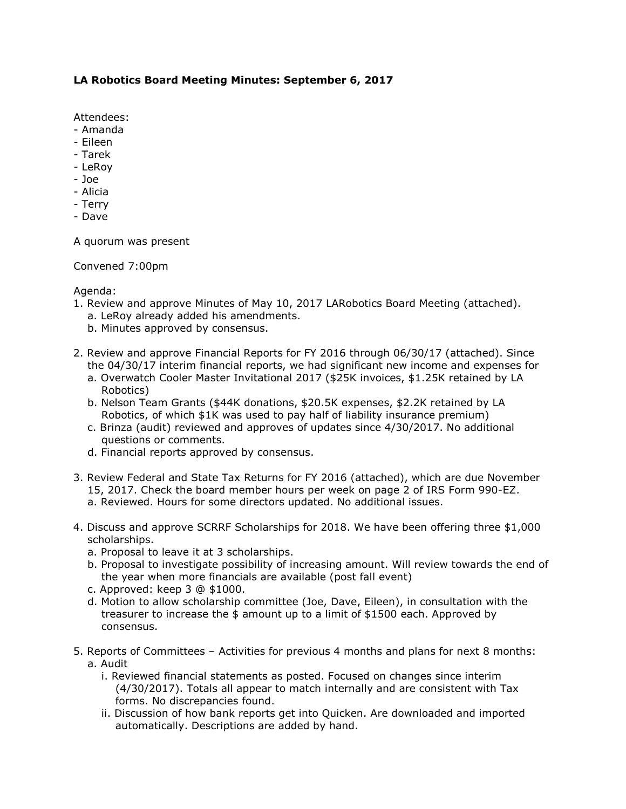## **LA Robotics Board Meeting Minutes: September 6, 2017**

Attendees:

- Amanda
- Eileen
- Tarek
- LeRoy
- Joe
- Alicia
- Terry
- Dave

A quorum was present

Convened 7:00pm

## Agenda:

- 1. Review and approve Minutes of May 10, 2017 LARobotics Board Meeting (attached). a. LeRoy already added his amendments.
	- b. Minutes approved by consensus.
- 2. Review and approve Financial Reports for FY 2016 through 06/30/17 (attached). Since the 04/30/17 interim financial reports, we had significant new income and expenses for
	- a. Overwatch Cooler Master Invitational 2017 (\$25K invoices, \$1.25K retained by LA Robotics)
	- b. Nelson Team Grants (\$44K donations, \$20.5K expenses, \$2.2K retained by LA Robotics, of which \$1K was used to pay half of liability insurance premium)
	- c. Brinza (audit) reviewed and approves of updates since 4/30/2017. No additional questions or comments.
	- d. Financial reports approved by consensus.
- 3. Review Federal and State Tax Returns for FY 2016 (attached), which are due November 15, 2017. Check the board member hours per week on page 2 of IRS Form 990-EZ. a. Reviewed. Hours for some directors updated. No additional issues.
- 4. Discuss and approve SCRRF Scholarships for 2018. We have been offering three \$1,000 scholarships.
	- a. Proposal to leave it at 3 scholarships.
	- b. Proposal to investigate possibility of increasing amount. Will review towards the end of the year when more financials are available (post fall event)
	- c. Approved: keep 3 @ \$1000.
	- d. Motion to allow scholarship committee (Joe, Dave, Eileen), in consultation with the treasurer to increase the \$ amount up to a limit of \$1500 each. Approved by consensus.
- 5. Reports of Committees Activities for previous 4 months and plans for next 8 months: a. Audit
	- i. Reviewed financial statements as posted. Focused on changes since interim (4/30/2017). Totals all appear to match internally and are consistent with Tax forms. No discrepancies found.
	- ii. Discussion of how bank reports get into Quicken. Are downloaded and imported automatically. Descriptions are added by hand.